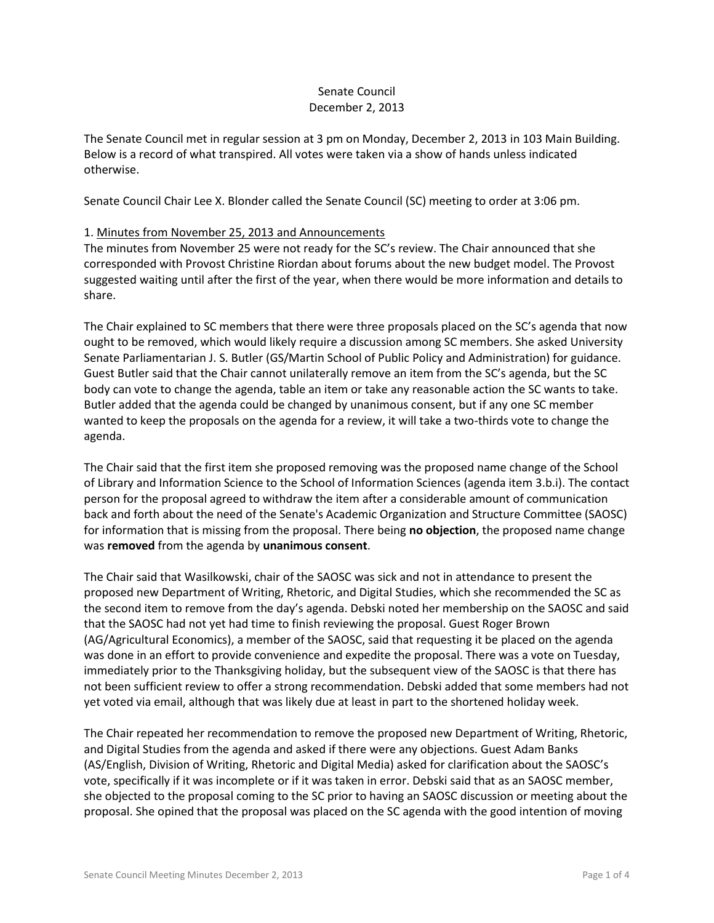## Senate Council December 2, 2013

The Senate Council met in regular session at 3 pm on Monday, December 2, 2013 in 103 Main Building. Below is a record of what transpired. All votes were taken via a show of hands unless indicated otherwise.

Senate Council Chair Lee X. Blonder called the Senate Council (SC) meeting to order at 3:06 pm.

# 1. Minutes from November 25, 2013 and Announcements

The minutes from November 25 were not ready for the SC's review. The Chair announced that she corresponded with Provost Christine Riordan about forums about the new budget model. The Provost suggested waiting until after the first of the year, when there would be more information and details to share.

The Chair explained to SC members that there were three proposals placed on the SC's agenda that now ought to be removed, which would likely require a discussion among SC members. She asked University Senate Parliamentarian J. S. Butler (GS/Martin School of Public Policy and Administration) for guidance. Guest Butler said that the Chair cannot unilaterally remove an item from the SC's agenda, but the SC body can vote to change the agenda, table an item or take any reasonable action the SC wants to take. Butler added that the agenda could be changed by unanimous consent, but if any one SC member wanted to keep the proposals on the agenda for a review, it will take a two-thirds vote to change the agenda.

The Chair said that the first item she proposed removing was the proposed name change of the School of Library and Information Science to the School of Information Sciences (agenda item 3.b.i). The contact person for the proposal agreed to withdraw the item after a considerable amount of communication back and forth about the need of the Senate's Academic Organization and Structure Committee (SAOSC) for information that is missing from the proposal. There being **no objection**, the proposed name change was **removed** from the agenda by **unanimous consent**.

The Chair said that Wasilkowski, chair of the SAOSC was sick and not in attendance to present the proposed new Department of Writing, Rhetoric, and Digital Studies, which she recommended the SC as the second item to remove from the day's agenda. Debski noted her membership on the SAOSC and said that the SAOSC had not yet had time to finish reviewing the proposal. Guest Roger Brown (AG/Agricultural Economics), a member of the SAOSC, said that requesting it be placed on the agenda was done in an effort to provide convenience and expedite the proposal. There was a vote on Tuesday, immediately prior to the Thanksgiving holiday, but the subsequent view of the SAOSC is that there has not been sufficient review to offer a strong recommendation. Debski added that some members had not yet voted via email, although that was likely due at least in part to the shortened holiday week.

The Chair repeated her recommendation to remove the proposed new Department of Writing, Rhetoric, and Digital Studies from the agenda and asked if there were any objections. Guest Adam Banks (AS/English, Division of Writing, Rhetoric and Digital Media) asked for clarification about the SAOSC's vote, specifically if it was incomplete or if it was taken in error. Debski said that as an SAOSC member, she objected to the proposal coming to the SC prior to having an SAOSC discussion or meeting about the proposal. She opined that the proposal was placed on the SC agenda with the good intention of moving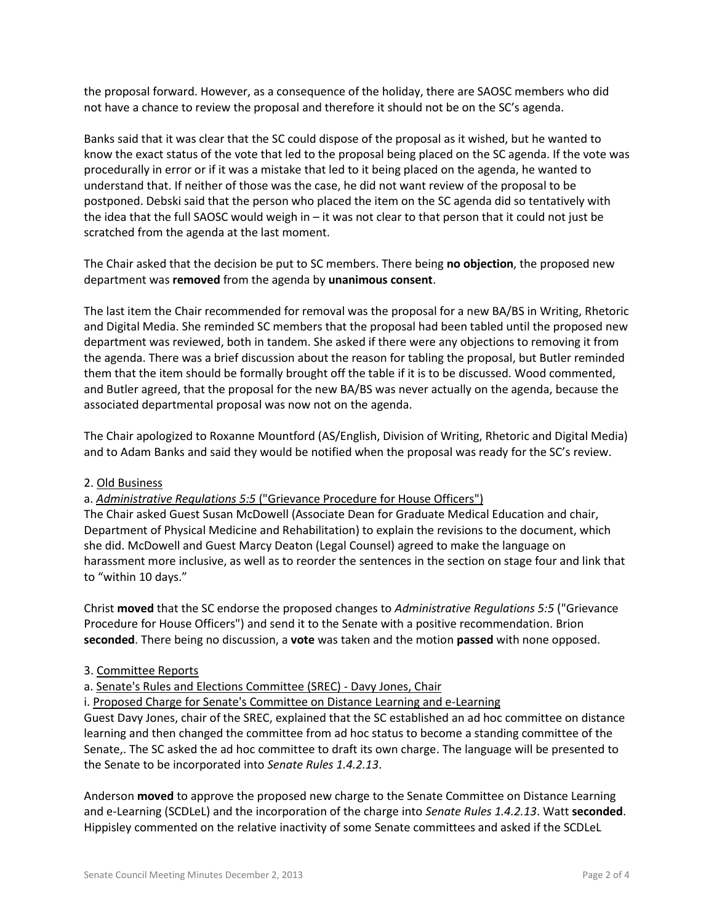the proposal forward. However, as a consequence of the holiday, there are SAOSC members who did not have a chance to review the proposal and therefore it should not be on the SC's agenda.

Banks said that it was clear that the SC could dispose of the proposal as it wished, but he wanted to know the exact status of the vote that led to the proposal being placed on the SC agenda. If the vote was procedurally in error or if it was a mistake that led to it being placed on the agenda, he wanted to understand that. If neither of those was the case, he did not want review of the proposal to be postponed. Debski said that the person who placed the item on the SC agenda did so tentatively with the idea that the full SAOSC would weigh in – it was not clear to that person that it could not just be scratched from the agenda at the last moment.

The Chair asked that the decision be put to SC members. There being **no objection**, the proposed new department was **removed** from the agenda by **unanimous consent**.

The last item the Chair recommended for removal was the proposal for a new BA/BS in Writing, Rhetoric and Digital Media. She reminded SC members that the proposal had been tabled until the proposed new department was reviewed, both in tandem. She asked if there were any objections to removing it from the agenda. There was a brief discussion about the reason for tabling the proposal, but Butler reminded them that the item should be formally brought off the table if it is to be discussed. Wood commented, and Butler agreed, that the proposal for the new BA/BS was never actually on the agenda, because the associated departmental proposal was now not on the agenda.

The Chair apologized to Roxanne Mountford (AS/English, Division of Writing, Rhetoric and Digital Media) and to Adam Banks and said they would be notified when the proposal was ready for the SC's review.

# 2. Old Business

#### a. *Administrative Regulations 5:5* ("Grievance Procedure for House Officers")

The Chair asked Guest Susan McDowell (Associate Dean for Graduate Medical Education and chair, Department of Physical Medicine and Rehabilitation) to explain the revisions to the document, which she did. McDowell and Guest Marcy Deaton (Legal Counsel) agreed to make the language on harassment more inclusive, as well as to reorder the sentences in the section on stage four and link that to "within 10 days."

Christ **moved** that the SC endorse the proposed changes to *Administrative Regulations 5:5* ("Grievance Procedure for House Officers") and send it to the Senate with a positive recommendation. Brion **seconded**. There being no discussion, a **vote** was taken and the motion **passed** with none opposed.

#### 3. Committee Reports

a. Senate's Rules and Elections Committee (SREC) - Davy Jones, Chair

i. Proposed Charge for Senate's Committee on Distance Learning and e-Learning

Guest Davy Jones, chair of the SREC, explained that the SC established an ad hoc committee on distance learning and then changed the committee from ad hoc status to become a standing committee of the Senate,. The SC asked the ad hoc committee to draft its own charge. The language will be presented to the Senate to be incorporated into *Senate Rules 1.4.2.13*.

Anderson **moved** to approve the proposed new charge to the Senate Committee on Distance Learning and e-Learning (SCDLeL) and the incorporation of the charge into *Senate Rules 1.4.2.13*. Watt **seconded**. Hippisley commented on the relative inactivity of some Senate committees and asked if the SCDLeL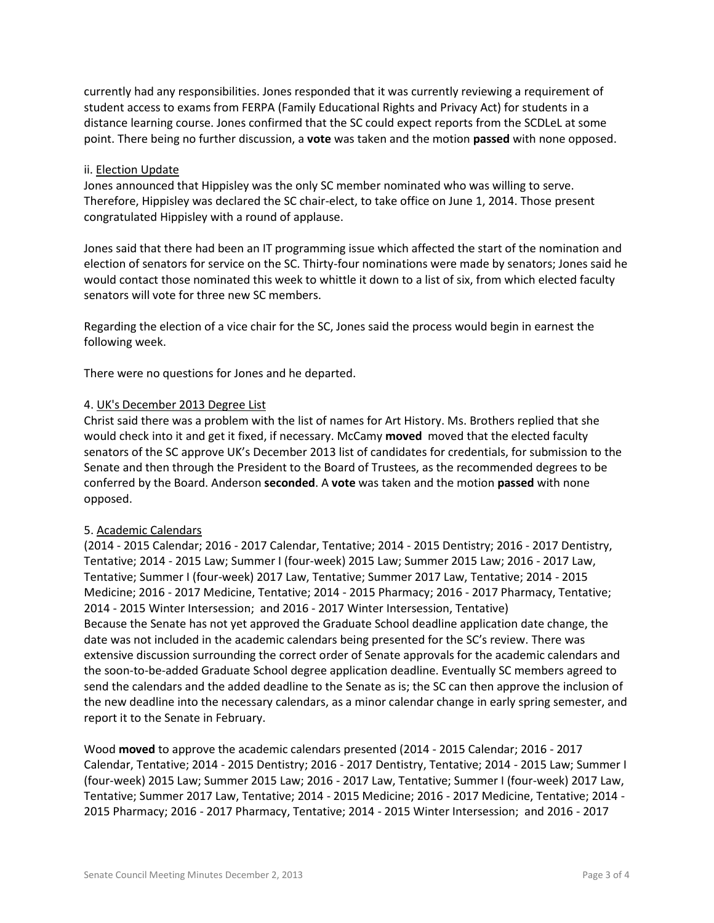currently had any responsibilities. Jones responded that it was currently reviewing a requirement of student access to exams from FERPA (Family Educational Rights and Privacy Act) for students in a distance learning course. Jones confirmed that the SC could expect reports from the SCDLeL at some point. There being no further discussion, a **vote** was taken and the motion **passed** with none opposed.

## ii. Election Update

Jones announced that Hippisley was the only SC member nominated who was willing to serve. Therefore, Hippisley was declared the SC chair-elect, to take office on June 1, 2014. Those present congratulated Hippisley with a round of applause.

Jones said that there had been an IT programming issue which affected the start of the nomination and election of senators for service on the SC. Thirty-four nominations were made by senators; Jones said he would contact those nominated this week to whittle it down to a list of six, from which elected faculty senators will vote for three new SC members.

Regarding the election of a vice chair for the SC, Jones said the process would begin in earnest the following week.

There were no questions for Jones and he departed.

### 4. UK's December 2013 Degree List

Christ said there was a problem with the list of names for Art History. Ms. Brothers replied that she would check into it and get it fixed, if necessary. McCamy **moved** moved that the elected faculty senators of the SC approve UK's December 2013 list of candidates for credentials, for submission to the Senate and then through the President to the Board of Trustees, as the recommended degrees to be conferred by the Board. Anderson **seconded**. A **vote** was taken and the motion **passed** with none opposed.

#### 5. Academic Calendars

(2014 - 2015 Calendar; 2016 - 2017 Calendar, Tentative; 2014 - 2015 Dentistry; 2016 - 2017 Dentistry, Tentative; 2014 - 2015 Law; Summer I (four-week) 2015 Law; Summer 2015 Law; 2016 - 2017 Law, Tentative; Summer I (four-week) 2017 Law, Tentative; Summer 2017 Law, Tentative; 2014 - 2015 Medicine; 2016 - 2017 Medicine, Tentative; 2014 - 2015 Pharmacy; 2016 - 2017 Pharmacy, Tentative; 2014 - 2015 Winter Intersession; and 2016 - 2017 Winter Intersession, Tentative) Because the Senate has not yet approved the Graduate School deadline application date change, the date was not included in the academic calendars being presented for the SC's review. There was extensive discussion surrounding the correct order of Senate approvals for the academic calendars and the soon-to-be-added Graduate School degree application deadline. Eventually SC members agreed to send the calendars and the added deadline to the Senate as is; the SC can then approve the inclusion of the new deadline into the necessary calendars, as a minor calendar change in early spring semester, and report it to the Senate in February.

Wood **moved** to approve the academic calendars presented (2014 - 2015 Calendar; 2016 - 2017 Calendar, Tentative; 2014 - 2015 Dentistry; 2016 - 2017 Dentistry, Tentative; 2014 - 2015 Law; Summer I (four-week) 2015 Law; Summer 2015 Law; 2016 - 2017 Law, Tentative; Summer I (four-week) 2017 Law, Tentative; Summer 2017 Law, Tentative; 2014 - 2015 Medicine; 2016 - 2017 Medicine, Tentative; 2014 - 2015 Pharmacy; 2016 - 2017 Pharmacy, Tentative; 2014 - 2015 Winter Intersession; and 2016 - 2017